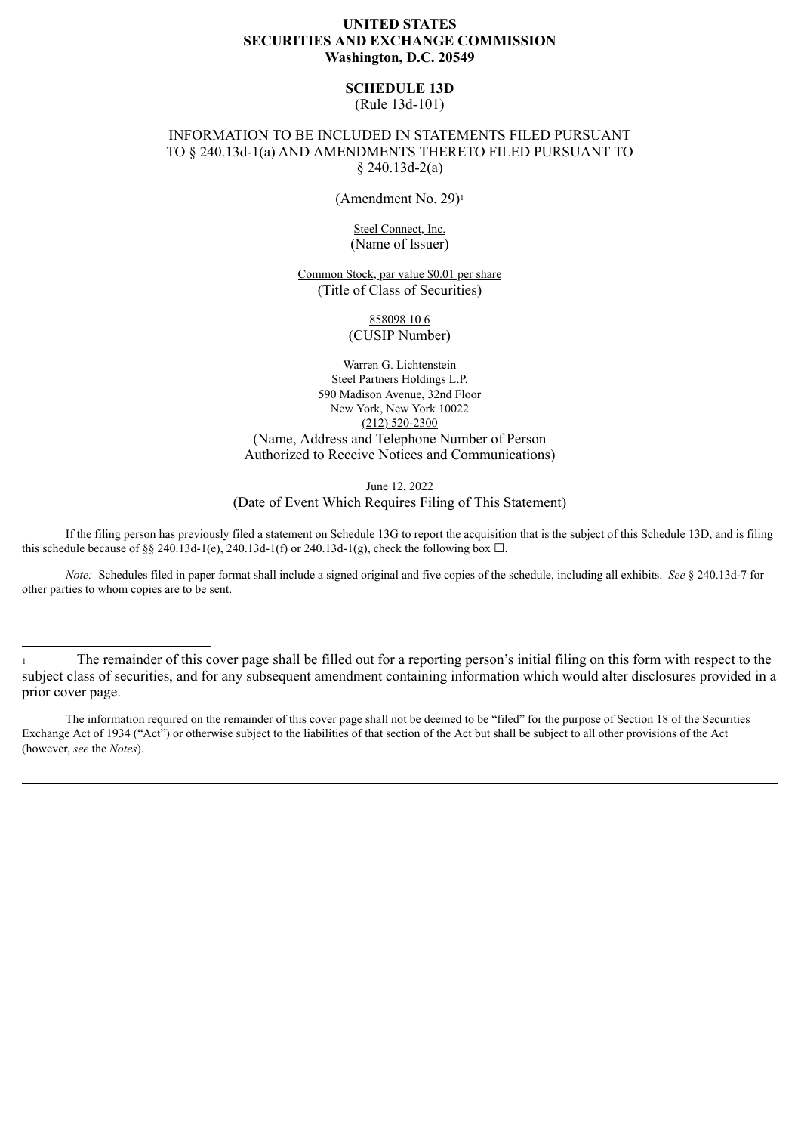## **UNITED STATES SECURITIES AND EXCHANGE COMMISSION Washington, D.C. 20549**

# **SCHEDULE 13D**

(Rule 13d-101)

## INFORMATION TO BE INCLUDED IN STATEMENTS FILED PURSUANT TO § 240.13d-1(a) AND AMENDMENTS THERETO FILED PURSUANT TO § 240.13d-2(a)

(Amendment No. 29)<sup>1</sup>

Steel Connect, Inc. (Name of Issuer)

Common Stock, par value \$0.01 per share (Title of Class of Securities)

> 858098 10 6 (CUSIP Number)

Warren G. Lichtenstein Steel Partners Holdings L.P. 590 Madison Avenue, 32nd Floor New York, New York 10022 (212) 520-2300 (Name, Address and Telephone Number of Person Authorized to Receive Notices and Communications)

June 12, 2022

(Date of Event Which Requires Filing of This Statement)

If the filing person has previously filed a statement on Schedule 13G to report the acquisition that is the subject of this Schedule 13D, and is filing this schedule because of §§ 240.13d-1(e), 240.13d-1(f) or 240.13d-1(g), check the following box  $\Box$ .

*Note:* Schedules filed in paper format shall include a signed original and five copies of the schedule, including all exhibits. *See* § 240.13d-7 for other parties to whom copies are to be sent.

<sup>1</sup> The remainder of this cover page shall be filled out for a reporting person's initial filing on this form with respect to the subject class of securities, and for any subsequent amendment containing information which would alter disclosures provided in a prior cover page.

The information required on the remainder of this cover page shall not be deemed to be "filed" for the purpose of Section 18 of the Securities Exchange Act of 1934 ("Act") or otherwise subject to the liabilities of that section of the Act but shall be subject to all other provisions of the Act (however, *see* the *Notes*).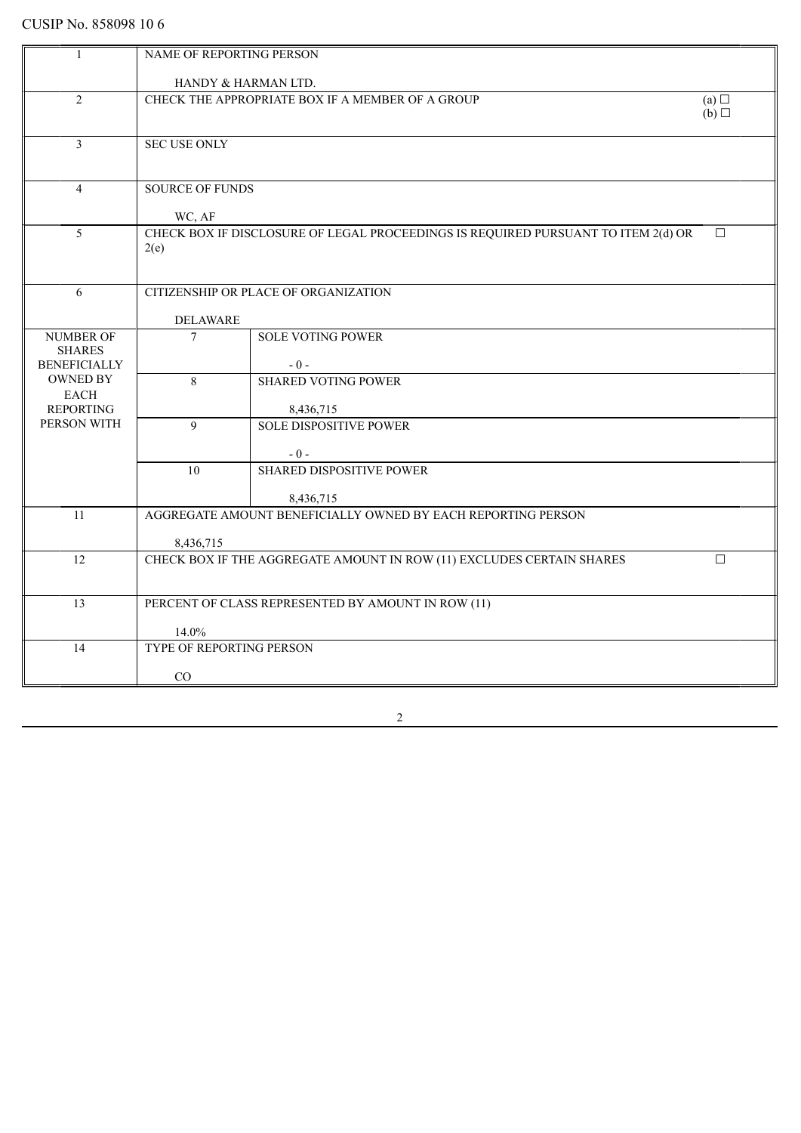| $\overline{1}$                         | NAME OF REPORTING PERSON                                                                    |                                                                       |        |
|----------------------------------------|---------------------------------------------------------------------------------------------|-----------------------------------------------------------------------|--------|
|                                        | HANDY & HARMAN LTD.                                                                         |                                                                       |        |
| $\overline{2}$                         |                                                                                             | CHECK THE APPROPRIATE BOX IF A MEMBER OF A GROUP                      | (a)    |
|                                        | (b)                                                                                         |                                                                       |        |
|                                        |                                                                                             |                                                                       |        |
| $\overline{3}$                         | <b>SEC USE ONLY</b>                                                                         |                                                                       |        |
|                                        |                                                                                             |                                                                       |        |
| $\overline{4}$                         | <b>SOURCE OF FUNDS</b>                                                                      |                                                                       |        |
|                                        |                                                                                             |                                                                       |        |
|                                        | WC, AF                                                                                      |                                                                       |        |
| $\overline{5}$                         | CHECK BOX IF DISCLOSURE OF LEGAL PROCEEDINGS IS REQUIRED PURSUANT TO ITEM 2(d) OR<br>$\Box$ |                                                                       |        |
|                                        | 2(e)                                                                                        |                                                                       |        |
|                                        |                                                                                             |                                                                       |        |
| 6                                      |                                                                                             | CITIZENSHIP OR PLACE OF ORGANIZATION                                  |        |
|                                        |                                                                                             |                                                                       |        |
|                                        | <b>DELAWARE</b>                                                                             |                                                                       |        |
| <b>NUMBER OF</b>                       | $\overline{7}$                                                                              | <b>SOLE VOTING POWER</b>                                              |        |
| <b>SHARES</b>                          |                                                                                             |                                                                       |        |
| <b>BENEFICIALLY</b><br><b>OWNED BY</b> |                                                                                             | $-0-$                                                                 |        |
| EACH                                   | 8                                                                                           | <b>SHARED VOTING POWER</b>                                            |        |
| <b>REPORTING</b>                       |                                                                                             | 8,436,715                                                             |        |
| PERSON WITH                            | 9                                                                                           | <b>SOLE DISPOSITIVE POWER</b>                                         |        |
|                                        |                                                                                             |                                                                       |        |
|                                        |                                                                                             | $-0-$                                                                 |        |
|                                        | 10                                                                                          | <b>SHARED DISPOSITIVE POWER</b>                                       |        |
|                                        |                                                                                             | 8,436,715                                                             |        |
| 11                                     |                                                                                             | AGGREGATE AMOUNT BENEFICIALLY OWNED BY EACH REPORTING PERSON          |        |
|                                        |                                                                                             |                                                                       |        |
|                                        | 8,436,715                                                                                   |                                                                       |        |
| 12                                     |                                                                                             | CHECK BOX IF THE AGGREGATE AMOUNT IN ROW (11) EXCLUDES CERTAIN SHARES | $\Box$ |
|                                        |                                                                                             |                                                                       |        |
| 13                                     |                                                                                             | PERCENT OF CLASS REPRESENTED BY AMOUNT IN ROW (11)                    |        |
|                                        |                                                                                             |                                                                       |        |
|                                        | 14.0%                                                                                       |                                                                       |        |
| 14                                     | TYPE OF REPORTING PERSON                                                                    |                                                                       |        |
|                                        | $\rm CO$                                                                                    |                                                                       |        |
|                                        |                                                                                             |                                                                       |        |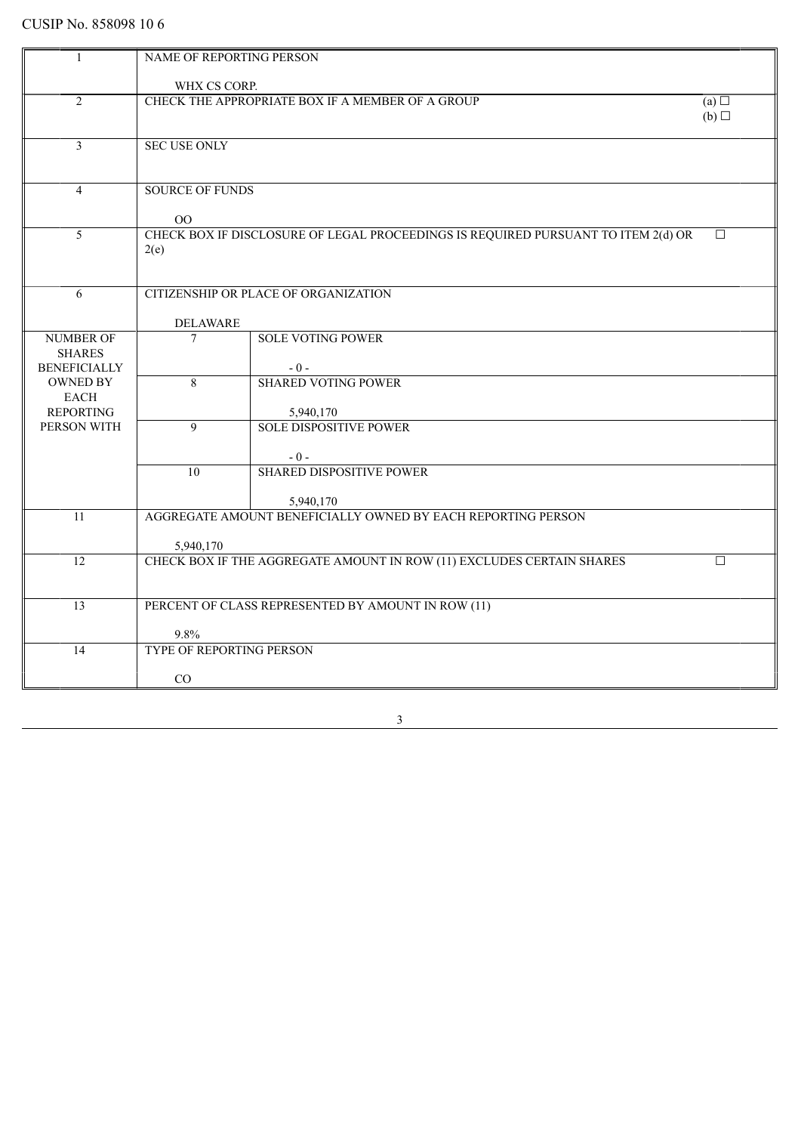| 1                                      | NAME OF REPORTING PERSON                |                                                                                   |        |
|----------------------------------------|-----------------------------------------|-----------------------------------------------------------------------------------|--------|
|                                        | WHX CS CORP.                            |                                                                                   |        |
| 2                                      |                                         | CHECK THE APPROPRIATE BOX IF A MEMBER OF A GROUP                                  | (a)    |
|                                        |                                         |                                                                                   | (b)    |
|                                        |                                         |                                                                                   |        |
| 3                                      | <b>SEC USE ONLY</b>                     |                                                                                   |        |
|                                        |                                         |                                                                                   |        |
|                                        |                                         |                                                                                   |        |
| $\overline{4}$                         | <b>SOURCE OF FUNDS</b>                  |                                                                                   |        |
|                                        |                                         |                                                                                   |        |
|                                        | $00\,$                                  |                                                                                   |        |
| $\overline{5}$                         |                                         | CHECK BOX IF DISCLOSURE OF LEGAL PROCEEDINGS IS REQUIRED PURSUANT TO ITEM 2(d) OR | $\Box$ |
|                                        | 2(e)                                    |                                                                                   |        |
|                                        |                                         |                                                                                   |        |
| 6                                      |                                         | CITIZENSHIP OR PLACE OF ORGANIZATION                                              |        |
|                                        |                                         |                                                                                   |        |
|                                        | <b>DELAWARE</b>                         |                                                                                   |        |
| <b>NUMBER OF</b>                       | $\overline{7}$                          | <b>SOLE VOTING POWER</b>                                                          |        |
| <b>SHARES</b>                          |                                         |                                                                                   |        |
| <b>BENEFICIALLY</b><br><b>OWNED BY</b> | 8                                       | $-0-$<br><b>SHARED VOTING POWER</b>                                               |        |
| <b>EACH</b>                            |                                         |                                                                                   |        |
| <b>REPORTING</b>                       |                                         | 5,940,170                                                                         |        |
| PERSON WITH                            | 9                                       | <b>SOLE DISPOSITIVE POWER</b>                                                     |        |
|                                        |                                         |                                                                                   |        |
|                                        |                                         | $-0-$                                                                             |        |
|                                        | 10                                      | <b>SHARED DISPOSITIVE POWER</b>                                                   |        |
|                                        |                                         |                                                                                   |        |
|                                        |                                         | 5,940,170                                                                         |        |
| 11                                     |                                         | AGGREGATE AMOUNT BENEFICIALLY OWNED BY EACH REPORTING PERSON                      |        |
|                                        | 5,940,170                               |                                                                                   |        |
| 12                                     |                                         | CHECK BOX IF THE AGGREGATE AMOUNT IN ROW (11) EXCLUDES CERTAIN SHARES             | $\Box$ |
|                                        |                                         |                                                                                   |        |
|                                        |                                         |                                                                                   |        |
| 13                                     |                                         | PERCENT OF CLASS REPRESENTED BY AMOUNT IN ROW (11)                                |        |
|                                        |                                         |                                                                                   |        |
|                                        | 9.8%<br><b>TYPE OF REPORTING PERSON</b> |                                                                                   |        |
| 14                                     |                                         |                                                                                   |        |
|                                        | CO                                      |                                                                                   |        |
|                                        |                                         |                                                                                   |        |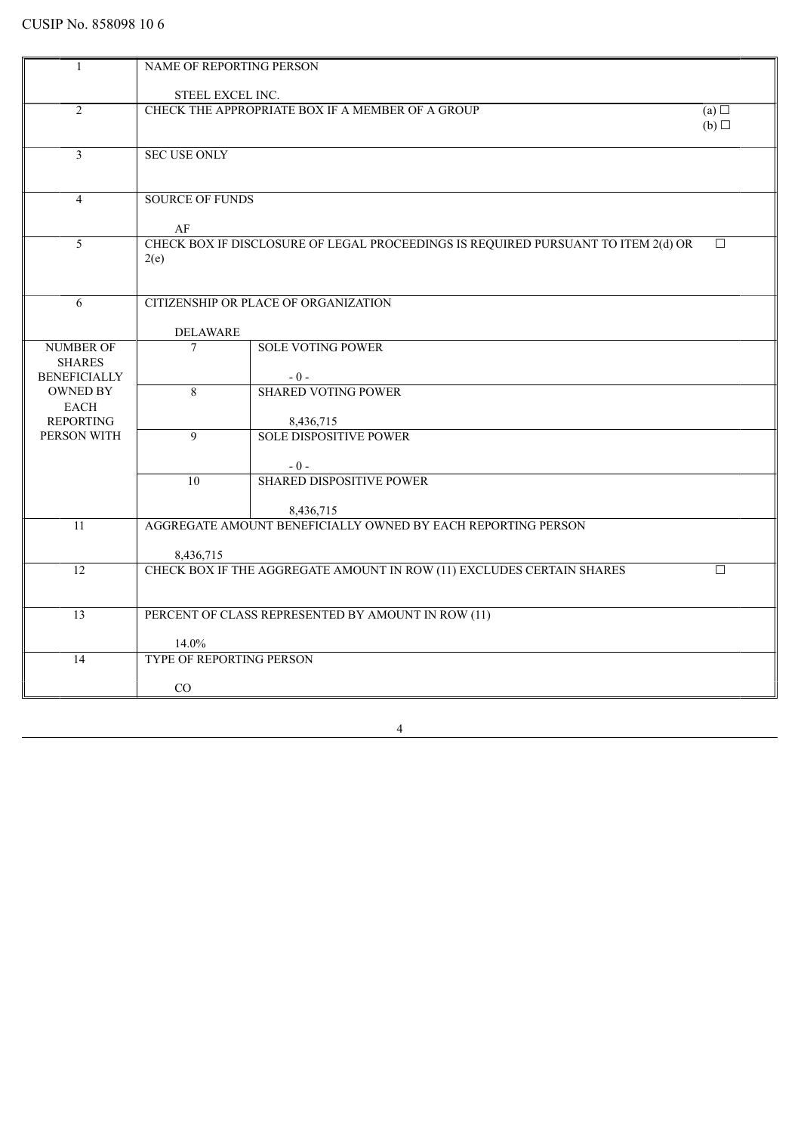|                     | NAME OF REPORTING PERSON |                                                                                   |            |
|---------------------|--------------------------|-----------------------------------------------------------------------------------|------------|
|                     | STEEL EXCEL INC.         |                                                                                   |            |
|                     |                          | CHECK THE APPROPRIATE BOX IF A MEMBER OF A GROUP                                  |            |
| 2                   |                          |                                                                                   | (a)<br>(b) |
|                     |                          |                                                                                   |            |
| $\overline{3}$      | <b>SEC USE ONLY</b>      |                                                                                   |            |
|                     |                          |                                                                                   |            |
|                     |                          |                                                                                   |            |
| $\overline{4}$      | <b>SOURCE OF FUNDS</b>   |                                                                                   |            |
|                     |                          |                                                                                   |            |
|                     | AF                       |                                                                                   |            |
| 5                   |                          | CHECK BOX IF DISCLOSURE OF LEGAL PROCEEDINGS IS REQUIRED PURSUANT TO ITEM 2(d) OR | $\Box$     |
|                     | 2(e)                     |                                                                                   |            |
|                     |                          |                                                                                   |            |
|                     |                          |                                                                                   |            |
| 6                   |                          | CITIZENSHIP OR PLACE OF ORGANIZATION                                              |            |
|                     |                          |                                                                                   |            |
|                     | <b>DELAWARE</b>          |                                                                                   |            |
| <b>NUMBER OF</b>    | $\overline{7}$           | <b>SOLE VOTING POWER</b>                                                          |            |
| <b>SHARES</b>       |                          |                                                                                   |            |
| <b>BENEFICIALLY</b> |                          | $-0-$                                                                             |            |
| <b>OWNED BY</b>     | $\overline{8}$           | <b>SHARED VOTING POWER</b>                                                        |            |
| <b>EACH</b>         |                          |                                                                                   |            |
| <b>REPORTING</b>    |                          | 8,436,715                                                                         |            |
| PERSON WITH         | $\mathbf Q$              | <b>SOLE DISPOSITIVE POWER</b>                                                     |            |
|                     |                          |                                                                                   |            |
|                     | $\overline{10}$          | $-0-$<br><b>SHARED DISPOSITIVE POWER</b>                                          |            |
|                     |                          |                                                                                   |            |
|                     |                          | 8,436,715                                                                         |            |
| 11                  |                          | AGGREGATE AMOUNT BENEFICIALLY OWNED BY EACH REPORTING PERSON                      |            |
|                     |                          |                                                                                   |            |
|                     | 8,436,715                |                                                                                   |            |
| 12                  |                          | CHECK BOX IF THE AGGREGATE AMOUNT IN ROW (11) EXCLUDES CERTAIN SHARES             | $\Box$     |
|                     |                          |                                                                                   |            |
|                     |                          |                                                                                   |            |
| 13                  |                          | PERCENT OF CLASS REPRESENTED BY AMOUNT IN ROW (11)                                |            |
|                     |                          |                                                                                   |            |
|                     | 14.0%                    |                                                                                   |            |
| 14                  | TYPE OF REPORTING PERSON |                                                                                   |            |
|                     |                          |                                                                                   |            |
|                     | CO                       |                                                                                   |            |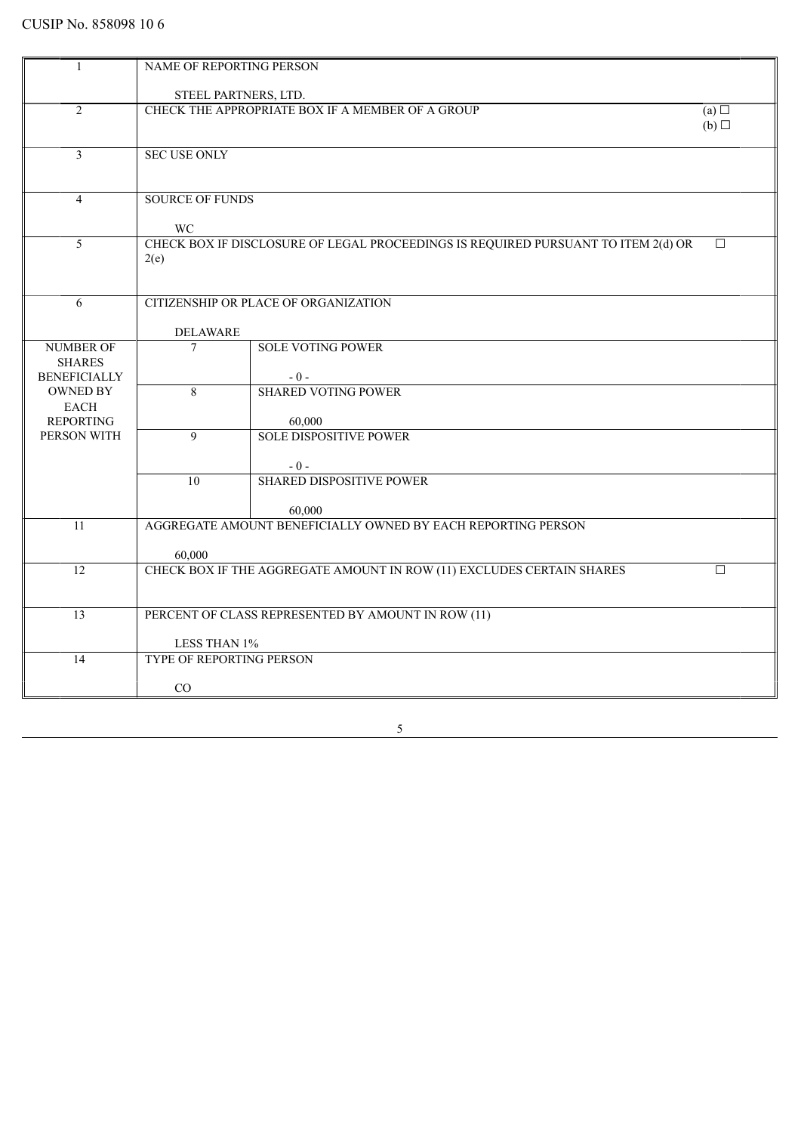| -1                  | NAME OF REPORTING PERSON                        |                                                                                   |        |
|---------------------|-------------------------------------------------|-----------------------------------------------------------------------------------|--------|
|                     |                                                 |                                                                                   |        |
|                     | STEEL PARTNERS, LTD.                            |                                                                                   |        |
| $\overline{2}$      |                                                 | CHECK THE APPROPRIATE BOX IF A MEMBER OF A GROUP                                  | (a)    |
|                     |                                                 |                                                                                   | (b)    |
|                     |                                                 |                                                                                   |        |
| $\overline{3}$      | <b>SEC USE ONLY</b>                             |                                                                                   |        |
|                     |                                                 |                                                                                   |        |
|                     |                                                 |                                                                                   |        |
| 4                   | <b>SOURCE OF FUNDS</b>                          |                                                                                   |        |
|                     | WC                                              |                                                                                   |        |
| $\overline{5}$      |                                                 | CHECK BOX IF DISCLOSURE OF LEGAL PROCEEDINGS IS REQUIRED PURSUANT TO ITEM 2(d) OR | П      |
|                     | 2(e)                                            |                                                                                   |        |
|                     |                                                 |                                                                                   |        |
|                     |                                                 |                                                                                   |        |
| 6                   |                                                 | CITIZENSHIP OR PLACE OF ORGANIZATION                                              |        |
|                     | <b>DELAWARE</b>                                 |                                                                                   |        |
| <b>NUMBER OF</b>    | $\tau$                                          | <b>SOLE VOTING POWER</b>                                                          |        |
| <b>SHARES</b>       |                                                 |                                                                                   |        |
| <b>BENEFICIALLY</b> |                                                 | $-0-$                                                                             |        |
| <b>OWNED BY</b>     | 8                                               | <b>SHARED VOTING POWER</b>                                                        |        |
| <b>EACH</b>         |                                                 |                                                                                   |        |
| <b>REPORTING</b>    |                                                 | 60,000                                                                            |        |
| PERSON WITH         | $\overline{9}$                                  | <b>SOLE DISPOSITIVE POWER</b>                                                     |        |
|                     |                                                 | $-0-$                                                                             |        |
|                     | 10                                              | <b>SHARED DISPOSITIVE POWER</b>                                                   |        |
|                     |                                                 |                                                                                   |        |
|                     |                                                 | 60,000                                                                            |        |
| 11                  |                                                 | AGGREGATE AMOUNT BENEFICIALLY OWNED BY EACH REPORTING PERSON                      |        |
|                     | 60,000                                          |                                                                                   |        |
| $\overline{12}$     |                                                 | CHECK BOX IF THE AGGREGATE AMOUNT IN ROW (11) EXCLUDES CERTAIN SHARES             | $\Box$ |
|                     |                                                 |                                                                                   |        |
|                     |                                                 |                                                                                   |        |
| 13                  |                                                 | PERCENT OF CLASS REPRESENTED BY AMOUNT IN ROW (11)                                |        |
|                     |                                                 |                                                                                   |        |
|                     | LESS THAN 1%<br><b>TYPE OF REPORTING PERSON</b> |                                                                                   |        |
| 14                  |                                                 |                                                                                   |        |
|                     | CO                                              |                                                                                   |        |
|                     |                                                 |                                                                                   |        |

 $\overline{5}$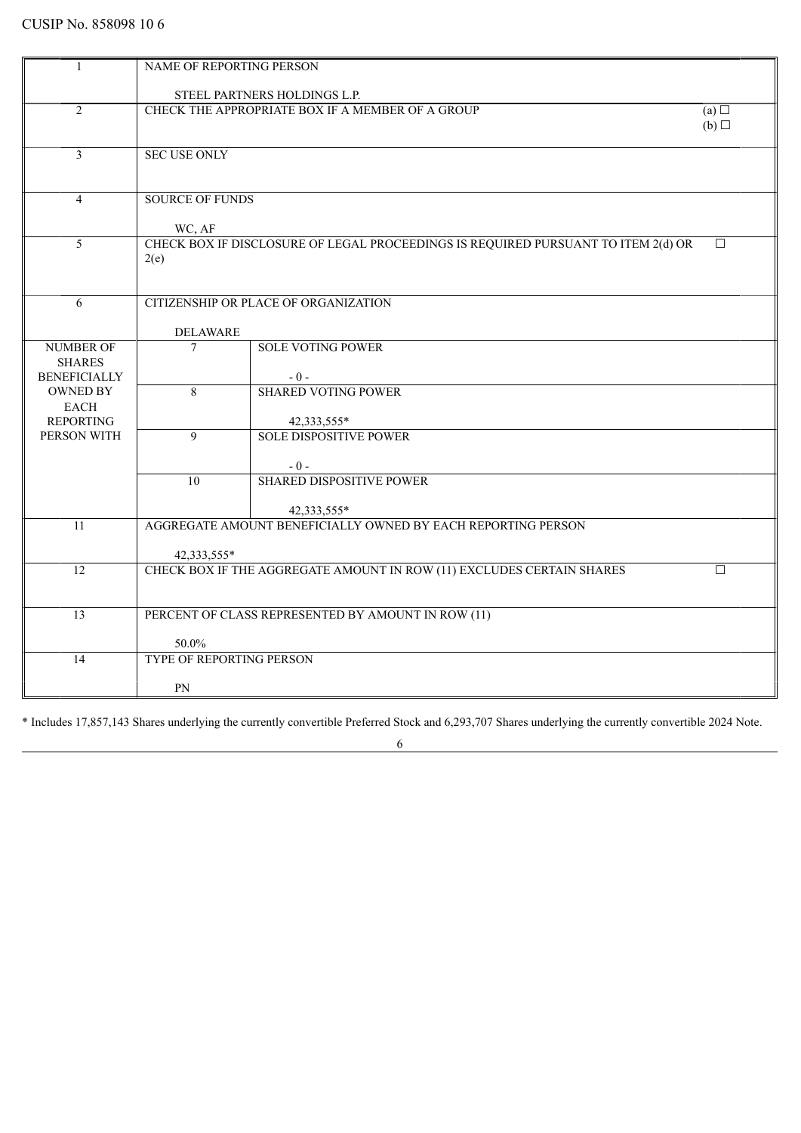| 1                                    | NAME OF REPORTING PERSON        |                                                                                   |        |
|--------------------------------------|---------------------------------|-----------------------------------------------------------------------------------|--------|
|                                      |                                 | STEEL PARTNERS HOLDINGS L.P.                                                      |        |
| $\overline{2}$                       |                                 | CHECK THE APPROPRIATE BOX IF A MEMBER OF A GROUP                                  | (a)    |
|                                      |                                 |                                                                                   | (b)    |
| 3                                    | <b>SEC USE ONLY</b>             |                                                                                   |        |
|                                      |                                 |                                                                                   |        |
| $\overline{4}$                       | <b>SOURCE OF FUNDS</b>          |                                                                                   |        |
|                                      | WC, AF                          |                                                                                   |        |
| $\overline{5}$                       |                                 | CHECK BOX IF DISCLOSURE OF LEGAL PROCEEDINGS IS REQUIRED PURSUANT TO ITEM 2(d) OR | $\Box$ |
|                                      | 2(e)                            |                                                                                   |        |
|                                      |                                 |                                                                                   |        |
| 6                                    |                                 | CITIZENSHIP OR PLACE OF ORGANIZATION                                              |        |
|                                      | <b>DELAWARE</b>                 |                                                                                   |        |
| <b>NUMBER OF</b>                     | 7                               | <b>SOLE VOTING POWER</b>                                                          |        |
| <b>SHARES</b><br><b>BENEFICIALLY</b> |                                 | $-0-$                                                                             |        |
| <b>OWNED BY</b>                      | 8                               | <b>SHARED VOTING POWER</b>                                                        |        |
| EACH<br><b>REPORTING</b>             |                                 | 42,333,555*                                                                       |        |
| PERSON WITH                          | $\mathbf{Q}$                    | <b>SOLE DISPOSITIVE POWER</b>                                                     |        |
|                                      |                                 |                                                                                   |        |
|                                      | 10                              | $-0-$<br><b>SHARED DISPOSITIVE POWER</b>                                          |        |
|                                      |                                 |                                                                                   |        |
| 11                                   |                                 | 42,333,555*<br>AGGREGATE AMOUNT BENEFICIALLY OWNED BY EACH REPORTING PERSON       |        |
|                                      |                                 |                                                                                   |        |
| 12                                   | 42,333,555*                     | CHECK BOX IF THE AGGREGATE AMOUNT IN ROW (11) EXCLUDES CERTAIN SHARES             | $\Box$ |
|                                      |                                 |                                                                                   |        |
| $\overline{13}$                      |                                 | PERCENT OF CLASS REPRESENTED BY AMOUNT IN ROW (11)                                |        |
|                                      |                                 |                                                                                   |        |
|                                      | 50.0%                           |                                                                                   |        |
| 14                                   | <b>TYPE OF REPORTING PERSON</b> |                                                                                   |        |
|                                      | PN                              |                                                                                   |        |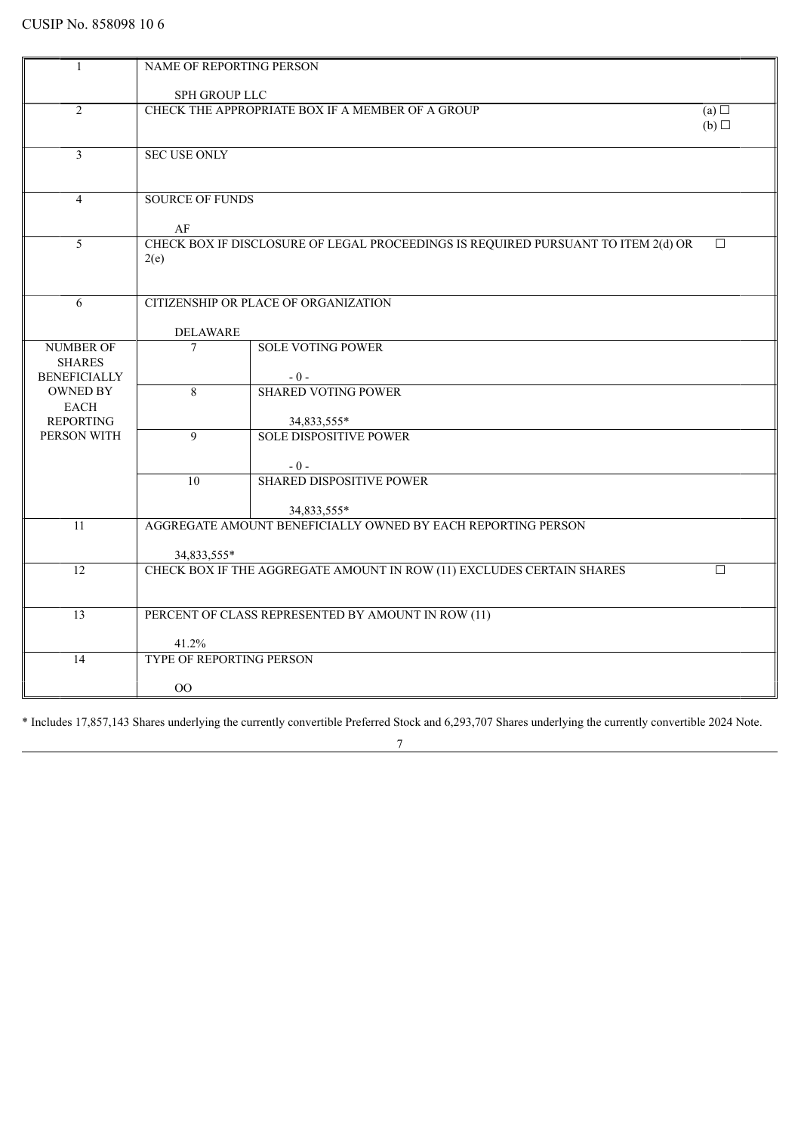|                          | NAME OF REPORTING PERSON                         |                                                                                   |                 |
|--------------------------|--------------------------------------------------|-----------------------------------------------------------------------------------|-----------------|
|                          |                                                  |                                                                                   |                 |
|                          | SPH GROUP LLC                                    |                                                                                   | (a)             |
| $\overline{2}$           | CHECK THE APPROPRIATE BOX IF A MEMBER OF A GROUP |                                                                                   |                 |
|                          |                                                  |                                                                                   | $(b)$ $\square$ |
| $\overline{\mathbf{3}}$  | <b>SEC USE ONLY</b>                              |                                                                                   |                 |
|                          |                                                  |                                                                                   |                 |
|                          |                                                  |                                                                                   |                 |
| $\overline{4}$           | <b>SOURCE OF FUNDS</b>                           |                                                                                   |                 |
|                          |                                                  |                                                                                   |                 |
|                          | AF                                               |                                                                                   |                 |
| 5                        |                                                  | CHECK BOX IF DISCLOSURE OF LEGAL PROCEEDINGS IS REQUIRED PURSUANT TO ITEM 2(d) OR | $\Box$          |
|                          | 2(e)                                             |                                                                                   |                 |
|                          |                                                  |                                                                                   |                 |
|                          |                                                  |                                                                                   |                 |
| 6                        |                                                  | CITIZENSHIP OR PLACE OF ORGANIZATION                                              |                 |
|                          |                                                  |                                                                                   |                 |
|                          | <b>DELAWARE</b>                                  |                                                                                   |                 |
| <b>NUMBER OF</b>         | $\overline{7}$                                   | <b>SOLE VOTING POWER</b>                                                          |                 |
| <b>SHARES</b>            |                                                  |                                                                                   |                 |
| <b>BENEFICIALLY</b>      |                                                  | $-0-$                                                                             |                 |
| <b>OWNED BY</b>          | 8                                                | <b>SHARED VOTING POWER</b>                                                        |                 |
| EACH<br><b>REPORTING</b> |                                                  |                                                                                   |                 |
| PERSON WITH              | $\overline{9}$                                   | 34,833,555*<br><b>SOLE DISPOSITIVE POWER</b>                                      |                 |
|                          |                                                  |                                                                                   |                 |
|                          |                                                  | $-0-$                                                                             |                 |
|                          | $\overline{10}$                                  | <b>SHARED DISPOSITIVE POWER</b>                                                   |                 |
|                          |                                                  |                                                                                   |                 |
|                          |                                                  | 34,833,555*                                                                       |                 |
| 11                       |                                                  | AGGREGATE AMOUNT BENEFICIALLY OWNED BY EACH REPORTING PERSON                      |                 |
|                          |                                                  |                                                                                   |                 |
|                          | 34,833,555*                                      |                                                                                   |                 |
| 12                       |                                                  | CHECK BOX IF THE AGGREGATE AMOUNT IN ROW (11) EXCLUDES CERTAIN SHARES             | □               |
|                          |                                                  |                                                                                   |                 |
|                          |                                                  |                                                                                   |                 |
| $\overline{13}$          |                                                  | PERCENT OF CLASS REPRESENTED BY AMOUNT IN ROW (11)                                |                 |
|                          |                                                  |                                                                                   |                 |
|                          | 41.2%                                            |                                                                                   |                 |
| 14                       | <b>TYPE OF REPORTING PERSON</b>                  |                                                                                   |                 |
|                          | 00                                               |                                                                                   |                 |
|                          |                                                  |                                                                                   |                 |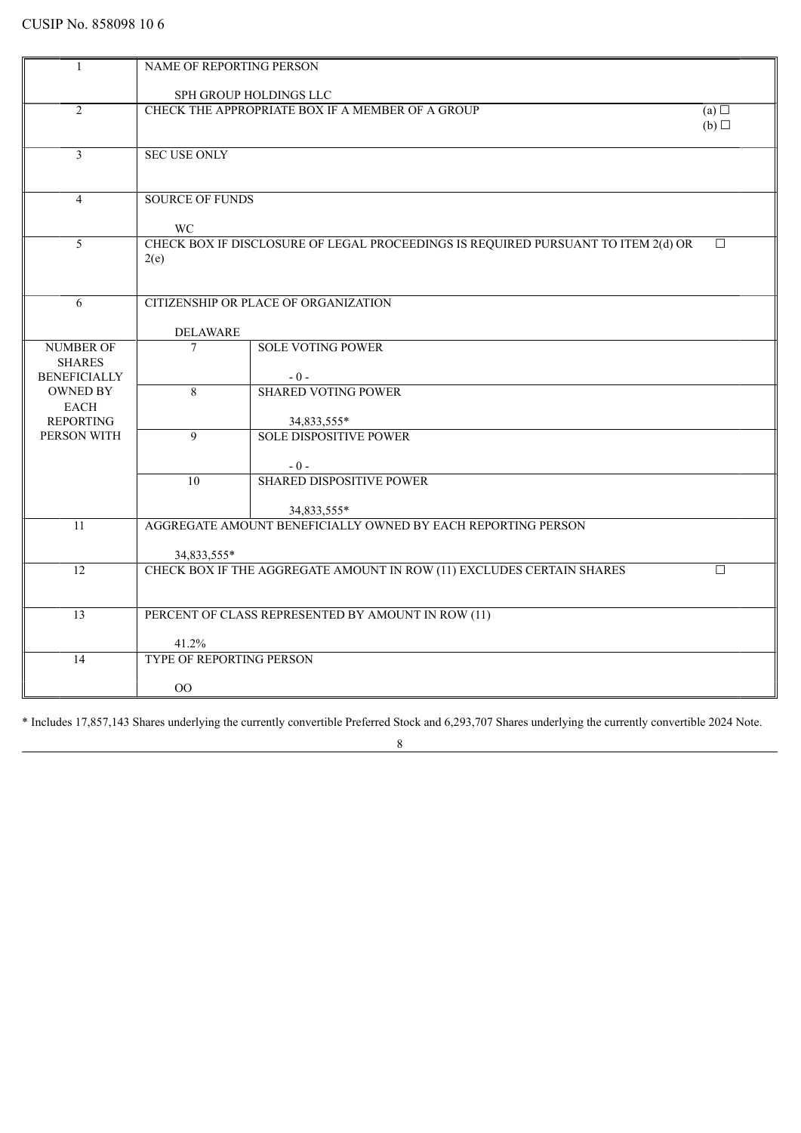| 1                                 | NAME OF REPORTING PERSON                                                               |                                                                       |        |
|-----------------------------------|----------------------------------------------------------------------------------------|-----------------------------------------------------------------------|--------|
|                                   |                                                                                        | SPH GROUP HOLDINGS LLC                                                |        |
| $\overline{2}$                    | CHECK THE APPROPRIATE BOX IF A MEMBER OF A GROUP<br>$(a)$ $\square$<br>$(b)$ $\square$ |                                                                       |        |
|                                   |                                                                                        |                                                                       |        |
| 3                                 | <b>SEC USE ONLY</b>                                                                    |                                                                       |        |
|                                   |                                                                                        |                                                                       |        |
| $\overline{4}$                    | <b>SOURCE OF FUNDS</b>                                                                 |                                                                       |        |
|                                   | WC                                                                                     |                                                                       |        |
| 5                                 | CHECK BOX IF DISCLOSURE OF LEGAL PROCEEDINGS IS REQUIRED PURSUANT TO ITEM 2(d) OR      |                                                                       |        |
|                                   | 2(e)                                                                                   |                                                                       |        |
| 6                                 |                                                                                        | CITIZENSHIP OR PLACE OF ORGANIZATION                                  |        |
|                                   |                                                                                        |                                                                       |        |
|                                   | <b>DELAWARE</b>                                                                        |                                                                       |        |
| <b>NUMBER OF</b><br><b>SHARES</b> | $\overline{7}$                                                                         | <b>SOLE VOTING POWER</b>                                              |        |
| <b>BENEFICIALLY</b>               |                                                                                        | $-0-$                                                                 |        |
| <b>OWNED BY</b>                   | 8                                                                                      | <b>SHARED VOTING POWER</b>                                            |        |
| <b>EACH</b>                       |                                                                                        |                                                                       |        |
| <b>REPORTING</b>                  |                                                                                        | 34,833,555*                                                           |        |
| PERSON WITH                       | 9                                                                                      | <b>SOLE DISPOSITIVE POWER</b>                                         |        |
|                                   |                                                                                        | $-0-$                                                                 |        |
|                                   | 10 <sup>1</sup>                                                                        | <b>SHARED DISPOSITIVE POWER</b>                                       |        |
|                                   |                                                                                        | 34,833,555*                                                           |        |
| 11                                |                                                                                        | AGGREGATE AMOUNT BENEFICIALLY OWNED BY EACH REPORTING PERSON          |        |
|                                   | 34,833,555*                                                                            |                                                                       |        |
| 12                                |                                                                                        | CHECK BOX IF THE AGGREGATE AMOUNT IN ROW (11) EXCLUDES CERTAIN SHARES | $\Box$ |
|                                   |                                                                                        |                                                                       |        |
| $\overline{13}$                   |                                                                                        | PERCENT OF CLASS REPRESENTED BY AMOUNT IN ROW (11)                    |        |
|                                   | 41.2%                                                                                  |                                                                       |        |
| 14                                | <b>TYPE OF REPORTING PERSON</b>                                                        |                                                                       |        |
|                                   | $00\,$                                                                                 |                                                                       |        |
|                                   |                                                                                        |                                                                       |        |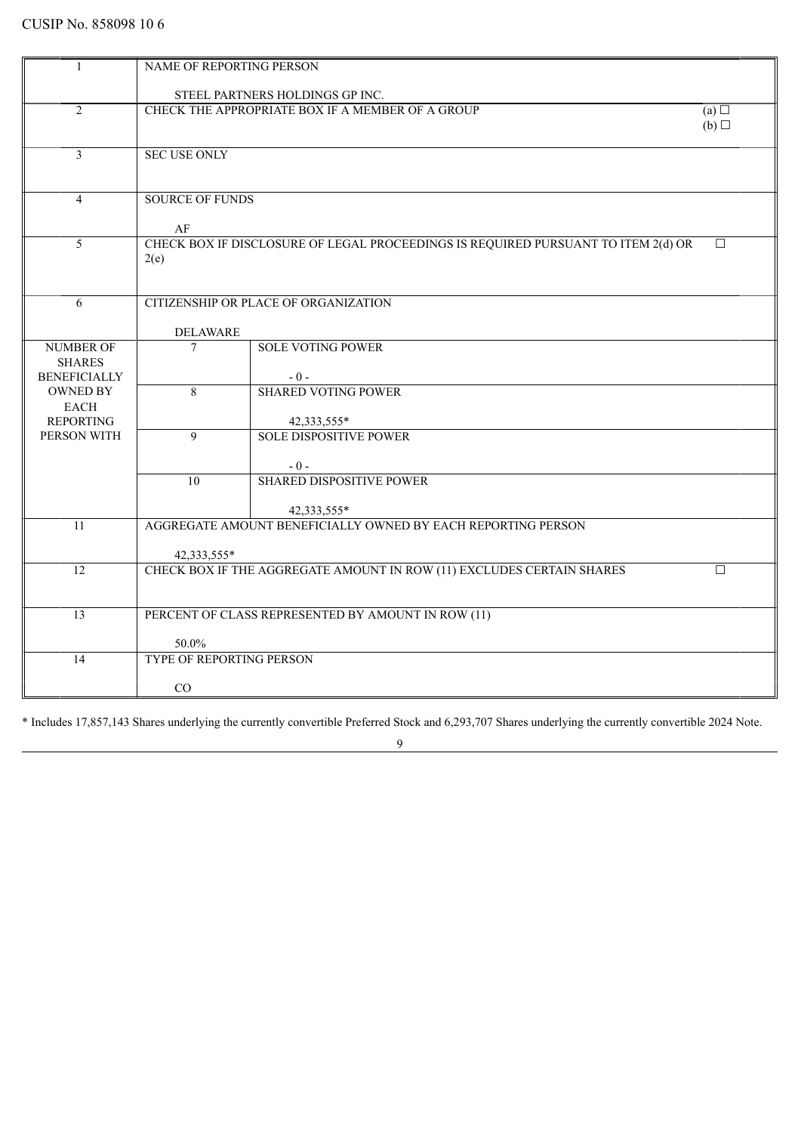| $\mathbf{1}$             | NAME OF REPORTING PERSON        |                                                                                   |        |
|--------------------------|---------------------------------|-----------------------------------------------------------------------------------|--------|
|                          |                                 | STEEL PARTNERS HOLDINGS GP INC.                                                   |        |
| $\overline{2}$           |                                 | CHECK THE APPROPRIATE BOX IF A MEMBER OF A GROUP                                  | (a)    |
|                          |                                 |                                                                                   | (b)    |
|                          |                                 |                                                                                   |        |
| $\overline{3}$           | <b>SEC USE ONLY</b>             |                                                                                   |        |
|                          |                                 |                                                                                   |        |
| $\overline{4}$           | <b>SOURCE OF FUNDS</b>          |                                                                                   |        |
|                          |                                 |                                                                                   |        |
|                          | AF                              |                                                                                   |        |
| 5                        |                                 | CHECK BOX IF DISCLOSURE OF LEGAL PROCEEDINGS IS REQUIRED PURSUANT TO ITEM 2(d) OR | $\Box$ |
|                          | 2(e)                            |                                                                                   |        |
|                          |                                 |                                                                                   |        |
| 6                        |                                 | CITIZENSHIP OR PLACE OF ORGANIZATION                                              |        |
|                          |                                 |                                                                                   |        |
| <b>NUMBER OF</b>         | <b>DELAWARE</b><br>7            | <b>SOLE VOTING POWER</b>                                                          |        |
| <b>SHARES</b>            |                                 |                                                                                   |        |
| <b>BENEFICIALLY</b>      |                                 | $-0-$                                                                             |        |
| <b>OWNED BY</b>          | 8                               | <b>SHARED VOTING POWER</b>                                                        |        |
| EACH<br><b>REPORTING</b> |                                 |                                                                                   |        |
| PERSON WITH              | $\mathbf{Q}$                    | 42,333,555*<br><b>SOLE DISPOSITIVE POWER</b>                                      |        |
|                          |                                 |                                                                                   |        |
|                          |                                 | $-0-$                                                                             |        |
|                          | $\overline{10}$                 | <b>SHARED DISPOSITIVE POWER</b>                                                   |        |
|                          |                                 |                                                                                   |        |
| 11                       |                                 | 42,333,555*<br>AGGREGATE AMOUNT BENEFICIALLY OWNED BY EACH REPORTING PERSON       |        |
|                          |                                 |                                                                                   |        |
|                          | 42,333,555*                     |                                                                                   |        |
| 12                       |                                 | CHECK BOX IF THE AGGREGATE AMOUNT IN ROW (11) EXCLUDES CERTAIN SHARES             | $\Box$ |
|                          |                                 |                                                                                   |        |
| 13                       |                                 | PERCENT OF CLASS REPRESENTED BY AMOUNT IN ROW (11)                                |        |
|                          |                                 |                                                                                   |        |
|                          | 50.0%                           |                                                                                   |        |
| 14                       | <b>TYPE OF REPORTING PERSON</b> |                                                                                   |        |
|                          | CO                              |                                                                                   |        |
|                          |                                 |                                                                                   |        |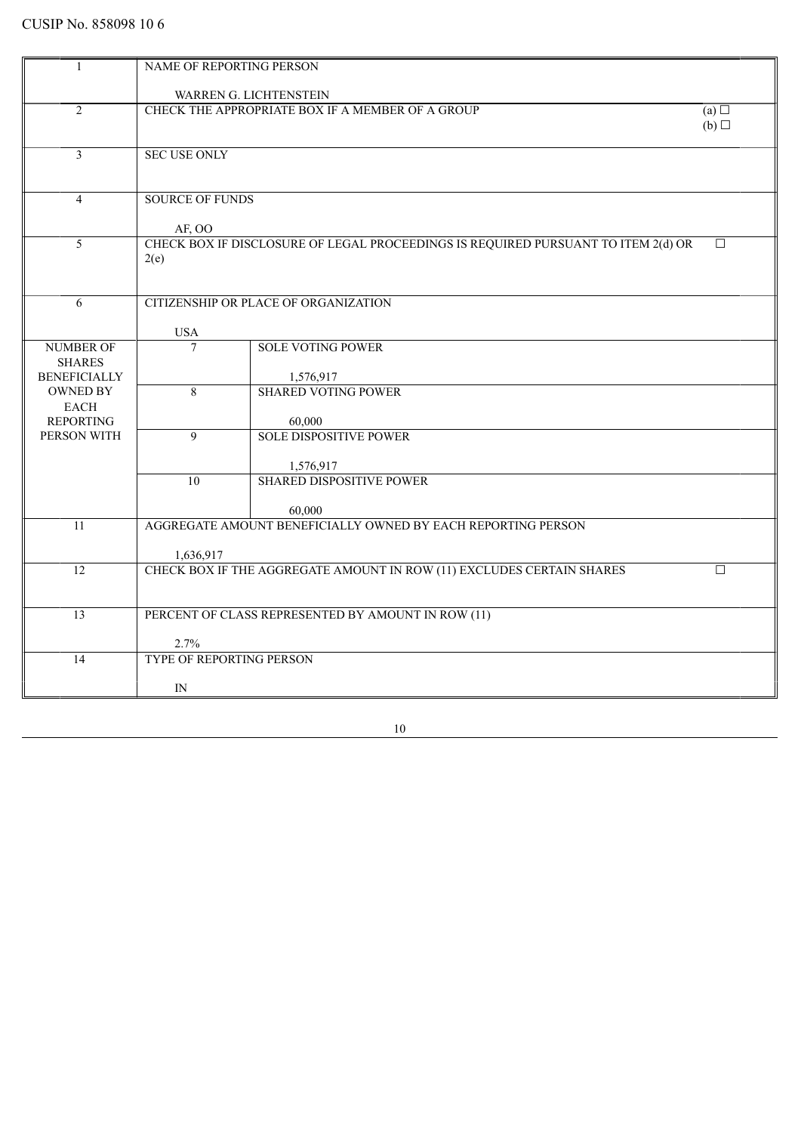| 1                                    | NAME OF REPORTING PERSON |                                                                                   |        |
|--------------------------------------|--------------------------|-----------------------------------------------------------------------------------|--------|
|                                      |                          |                                                                                   |        |
|                                      |                          | WARREN G. LICHTENSTEIN                                                            |        |
| $\overline{2}$                       |                          | CHECK THE APPROPRIATE BOX IF A MEMBER OF A GROUP                                  | (a)    |
|                                      |                          |                                                                                   | (b)    |
|                                      |                          |                                                                                   |        |
| 3                                    | <b>SEC USE ONLY</b>      |                                                                                   |        |
|                                      |                          |                                                                                   |        |
| $\overline{4}$                       | <b>SOURCE OF FUNDS</b>   |                                                                                   |        |
|                                      |                          |                                                                                   |        |
|                                      | AF, OO                   |                                                                                   |        |
| 5                                    |                          | CHECK BOX IF DISCLOSURE OF LEGAL PROCEEDINGS IS REQUIRED PURSUANT TO ITEM 2(d) OR | $\Box$ |
|                                      | 2(e)                     |                                                                                   |        |
|                                      |                          |                                                                                   |        |
|                                      |                          |                                                                                   |        |
| 6                                    |                          | CITIZENSHIP OR PLACE OF ORGANIZATION                                              |        |
|                                      |                          |                                                                                   |        |
|                                      | <b>USA</b>               |                                                                                   |        |
| <b>NUMBER OF</b>                     | $\overline{7}$           | <b>SOLE VOTING POWER</b>                                                          |        |
| <b>SHARES</b><br><b>BENEFICIALLY</b> |                          |                                                                                   |        |
| <b>OWNED BY</b>                      | 8                        | 1,576,917<br><b>SHARED VOTING POWER</b>                                           |        |
| <b>EACH</b>                          |                          |                                                                                   |        |
| <b>REPORTING</b>                     |                          | 60,000                                                                            |        |
| PERSON WITH                          | 9                        | <b>SOLE DISPOSITIVE POWER</b>                                                     |        |
|                                      |                          |                                                                                   |        |
|                                      |                          | 1,576,917                                                                         |        |
|                                      | $\overline{10}$          | <b>SHARED DISPOSITIVE POWER</b>                                                   |        |
|                                      |                          |                                                                                   |        |
|                                      |                          | 60,000                                                                            |        |
| 11                                   |                          | AGGREGATE AMOUNT BENEFICIALLY OWNED BY EACH REPORTING PERSON                      |        |
|                                      |                          |                                                                                   |        |
| 12                                   | 1,636,917                | CHECK BOX IF THE AGGREGATE AMOUNT IN ROW (11) EXCLUDES CERTAIN SHARES             | П      |
|                                      |                          |                                                                                   |        |
|                                      |                          |                                                                                   |        |
| 13                                   |                          | PERCENT OF CLASS REPRESENTED BY AMOUNT IN ROW (11)                                |        |
|                                      |                          |                                                                                   |        |
|                                      | 2.7%                     |                                                                                   |        |
| 14                                   | TYPE OF REPORTING PERSON |                                                                                   |        |
|                                      |                          |                                                                                   |        |
|                                      | IN                       |                                                                                   |        |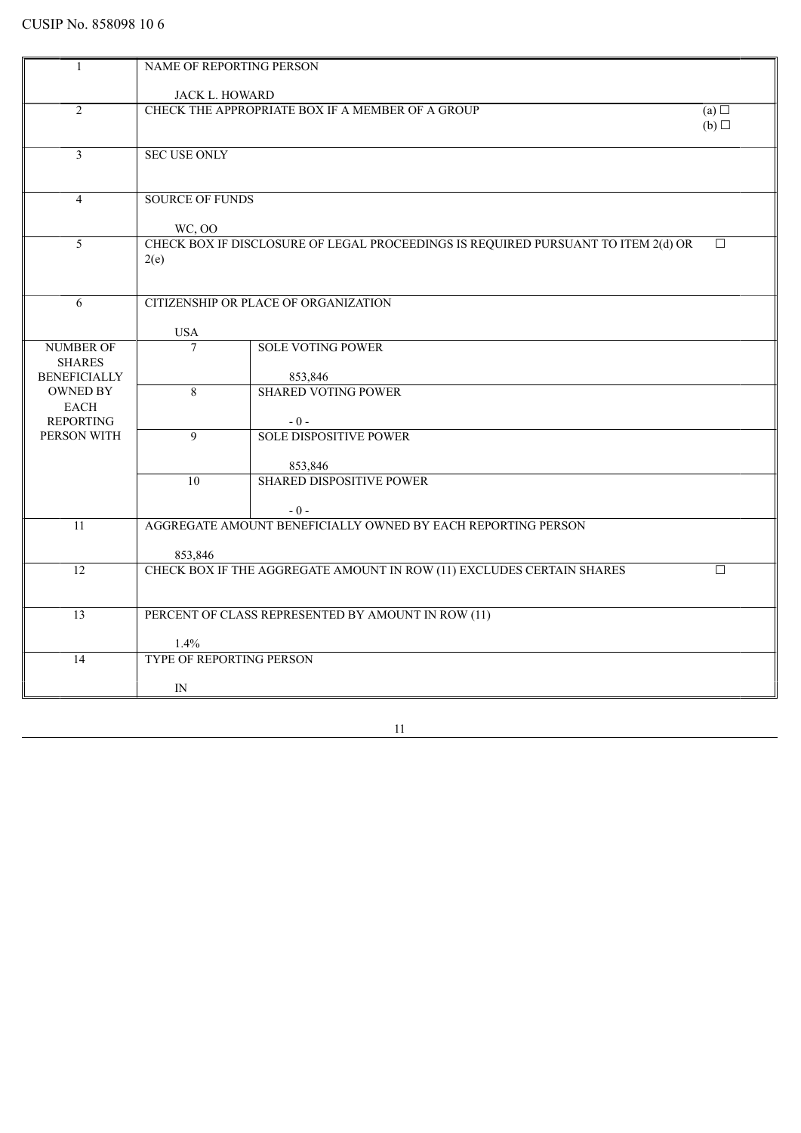|                     | NAME OF REPORTING PERSON |                                                                                   |        |
|---------------------|--------------------------|-----------------------------------------------------------------------------------|--------|
|                     |                          |                                                                                   |        |
|                     | <b>JACK L. HOWARD</b>    |                                                                                   |        |
| $\overline{2}$      |                          | CHECK THE APPROPRIATE BOX IF A MEMBER OF A GROUP                                  | (a)    |
|                     |                          |                                                                                   | (b)    |
| 3                   | <b>SEC USE ONLY</b>      |                                                                                   |        |
|                     |                          |                                                                                   |        |
|                     |                          |                                                                                   |        |
| $\overline{4}$      | <b>SOURCE OF FUNDS</b>   |                                                                                   |        |
|                     |                          |                                                                                   |        |
|                     | WC, OO                   |                                                                                   |        |
| 5                   |                          | CHECK BOX IF DISCLOSURE OF LEGAL PROCEEDINGS IS REQUIRED PURSUANT TO ITEM 2(d) OR | $\Box$ |
|                     | 2(e)                     |                                                                                   |        |
|                     |                          |                                                                                   |        |
|                     |                          |                                                                                   |        |
| 6                   |                          | CITIZENSHIP OR PLACE OF ORGANIZATION                                              |        |
|                     |                          |                                                                                   |        |
|                     | <b>USA</b>               |                                                                                   |        |
| <b>NUMBER OF</b>    | $\overline{7}$           | <b>SOLE VOTING POWER</b>                                                          |        |
| <b>SHARES</b>       |                          |                                                                                   |        |
| <b>BENEFICIALLY</b> |                          | 853,846                                                                           |        |
| <b>OWNED BY</b>     | $\overline{8}$           | <b>SHARED VOTING POWER</b>                                                        |        |
| <b>EACH</b>         |                          |                                                                                   |        |
| <b>REPORTING</b>    |                          | $-0-$                                                                             |        |
| PERSON WITH         | $\overline{9}$           | <b>SOLE DISPOSITIVE POWER</b>                                                     |        |
|                     |                          |                                                                                   |        |
|                     |                          | 853,846                                                                           |        |
|                     | $\overline{10}$          | <b>SHARED DISPOSITIVE POWER</b>                                                   |        |
|                     |                          |                                                                                   |        |
|                     |                          | $-0-$                                                                             |        |
| 11                  |                          | AGGREGATE AMOUNT BENEFICIALLY OWNED BY EACH REPORTING PERSON                      |        |
|                     |                          |                                                                                   |        |
|                     | 853,846                  |                                                                                   |        |
| 12                  |                          | CHECK BOX IF THE AGGREGATE AMOUNT IN ROW (11) EXCLUDES CERTAIN SHARES             | □      |
|                     |                          |                                                                                   |        |
| 13                  |                          | PERCENT OF CLASS REPRESENTED BY AMOUNT IN ROW (11)                                |        |
|                     |                          |                                                                                   |        |
|                     | 1.4%                     |                                                                                   |        |
| 14                  | TYPE OF REPORTING PERSON |                                                                                   |        |
|                     |                          |                                                                                   |        |
|                     | IN                       |                                                                                   |        |
|                     |                          |                                                                                   |        |
|                     |                          |                                                                                   |        |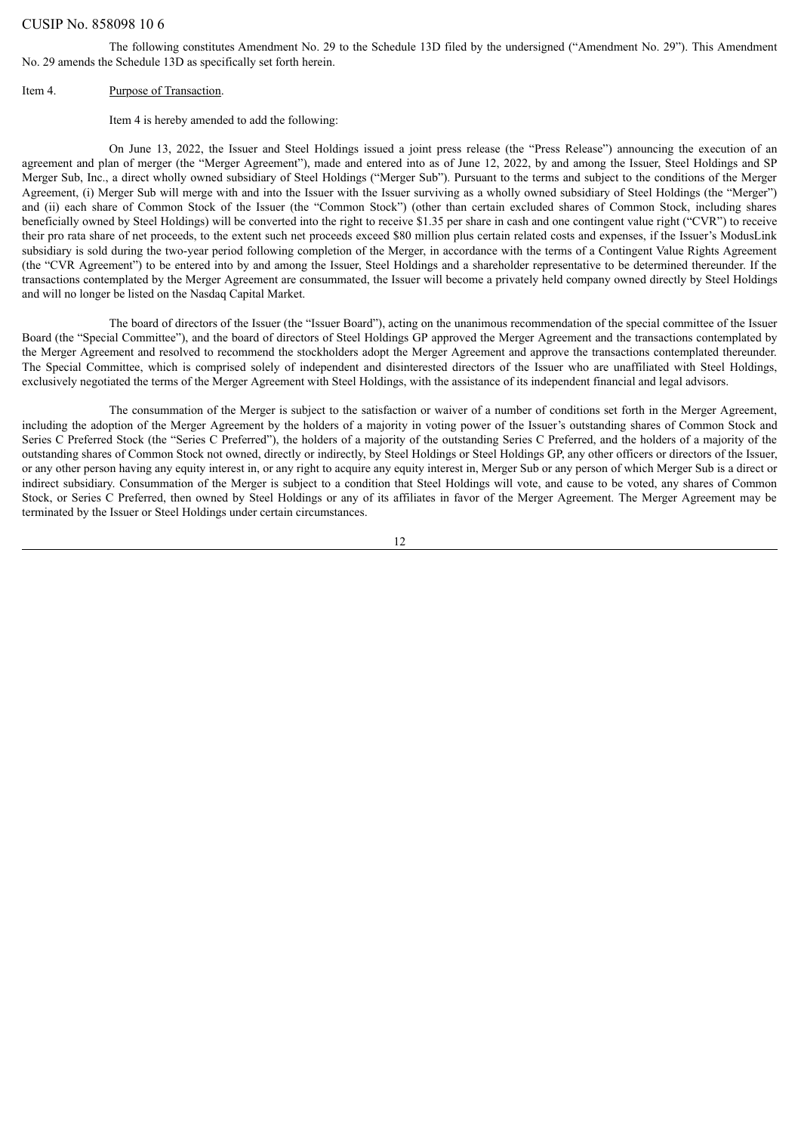The following constitutes Amendment No. 29 to the Schedule 13D filed by the undersigned ("Amendment No. 29"). This Amendment No. 29 amends the Schedule 13D as specifically set forth herein.

#### Item 4. Purpose of Transaction.

Item 4 is hereby amended to add the following:

On June 13, 2022, the Issuer and Steel Holdings issued a joint press release (the "Press Release") announcing the execution of an agreement and plan of merger (the "Merger Agreement"), made and entered into as of June 12, 2022, by and among the Issuer, Steel Holdings and SP Merger Sub, Inc., a direct wholly owned subsidiary of Steel Holdings ("Merger Sub"). Pursuant to the terms and subject to the conditions of the Merger Agreement, (i) Merger Sub will merge with and into the Issuer with the Issuer surviving as a wholly owned subsidiary of Steel Holdings (the "Merger") and (ii) each share of Common Stock of the Issuer (the "Common Stock") (other than certain excluded shares of Common Stock, including shares beneficially owned by Steel Holdings) will be converted into the right to receive \$1.35 per share in cash and one contingent value right ("CVR") to receive their pro rata share of net proceeds, to the extent such net proceeds exceed \$80 million plus certain related costs and expenses, if the Issuer's ModusLink subsidiary is sold during the two-year period following completion of the Merger, in accordance with the terms of a Contingent Value Rights Agreement (the "CVR Agreement") to be entered into by and among the Issuer, Steel Holdings and a shareholder representative to be determined thereunder. If the transactions contemplated by the Merger Agreement are consummated, the Issuer will become a privately held company owned directly by Steel Holdings and will no longer be listed on the Nasdaq Capital Market.

The board of directors of the Issuer (the "Issuer Board"), acting on the unanimous recommendation of the special committee of the Issuer Board (the "Special Committee"), and the board of directors of Steel Holdings GP approved the Merger Agreement and the transactions contemplated by the Merger Agreement and resolved to recommend the stockholders adopt the Merger Agreement and approve the transactions contemplated thereunder. The Special Committee, which is comprised solely of independent and disinterested directors of the Issuer who are unaffiliated with Steel Holdings, exclusively negotiated the terms of the Merger Agreement with Steel Holdings, with the assistance of its independent financial and legal advisors.

The consummation of the Merger is subject to the satisfaction or waiver of a number of conditions set forth in the Merger Agreement, including the adoption of the Merger Agreement by the holders of a majority in voting power of the Issuer's outstanding shares of Common Stock and Series C Preferred Stock (the "Series C Preferred"), the holders of a majority of the outstanding Series C Preferred, and the holders of a majority of the outstanding shares of Common Stock not owned, directly or indirectly, by Steel Holdings or Steel Holdings GP, any other officers or directors of the Issuer, or any other person having any equity interest in, or any right to acquire any equity interest in, Merger Sub or any person of which Merger Sub is a direct or indirect subsidiary. Consummation of the Merger is subject to a condition that Steel Holdings will vote, and cause to be voted, any shares of Common Stock, or Series C Preferred, then owned by Steel Holdings or any of its affiliates in favor of the Merger Agreement. The Merger Agreement may be terminated by the Issuer or Steel Holdings under certain circumstances.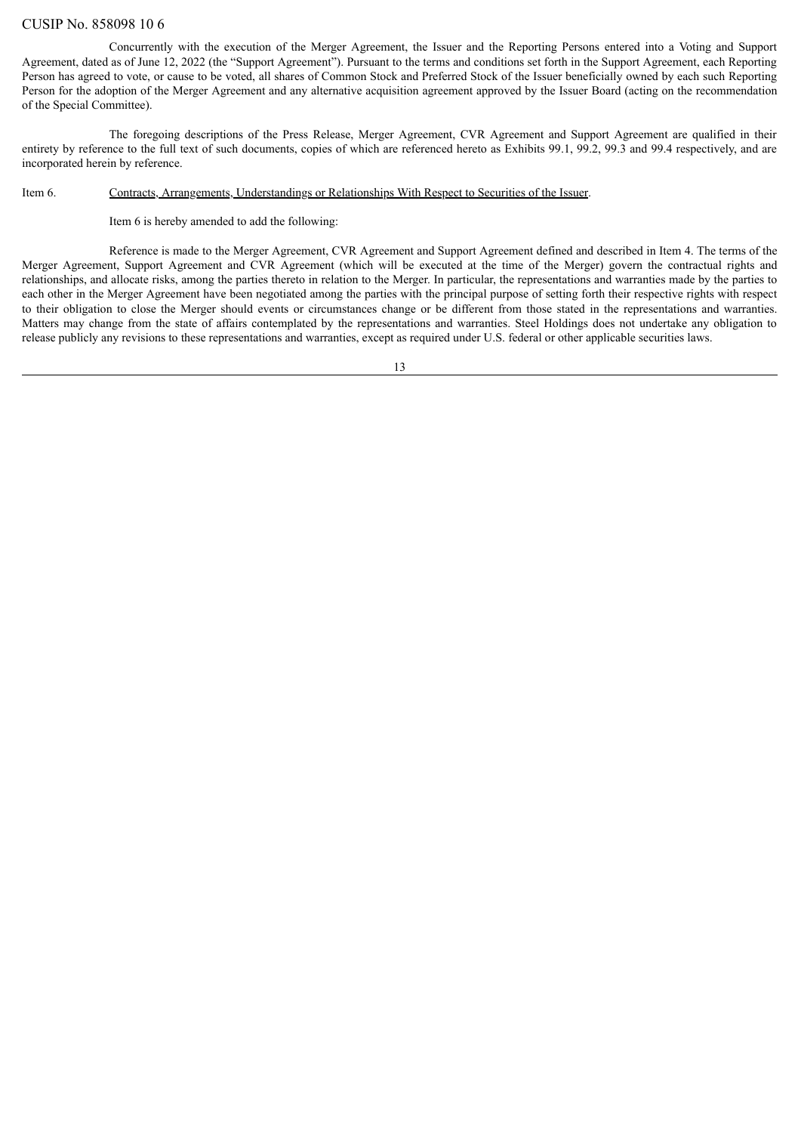Concurrently with the execution of the Merger Agreement, the Issuer and the Reporting Persons entered into a Voting and Support Agreement, dated as of June 12, 2022 (the "Support Agreement"). Pursuant to the terms and conditions set forth in the Support Agreement, each Reporting Person has agreed to vote, or cause to be voted, all shares of Common Stock and Preferred Stock of the Issuer beneficially owned by each such Reporting Person for the adoption of the Merger Agreement and any alternative acquisition agreement approved by the Issuer Board (acting on the recommendation of the Special Committee).

The foregoing descriptions of the Press Release, Merger Agreement, CVR Agreement and Support Agreement are qualified in their entirety by reference to the full text of such documents, copies of which are referenced hereto as Exhibits 99.1, 99.2, 99.3 and 99.4 respectively, and are incorporated herein by reference.

### Item 6. Contracts, Arrangements, Understandings or Relationships With Respect to Securities of the Issuer.

Item 6 is hereby amended to add the following:

Reference is made to the Merger Agreement, CVR Agreement and Support Agreement defined and described in Item 4. The terms of the Merger Agreement, Support Agreement and CVR Agreement (which will be executed at the time of the Merger) govern the contractual rights and relationships, and allocate risks, among the parties thereto in relation to the Merger. In particular, the representations and warranties made by the parties to each other in the Merger Agreement have been negotiated among the parties with the principal purpose of setting forth their respective rights with respect to their obligation to close the Merger should events or circumstances change or be different from those stated in the representations and warranties. Matters may change from the state of affairs contemplated by the representations and warranties. Steel Holdings does not undertake any obligation to release publicly any revisions to these representations and warranties, except as required under U.S. federal or other applicable securities laws.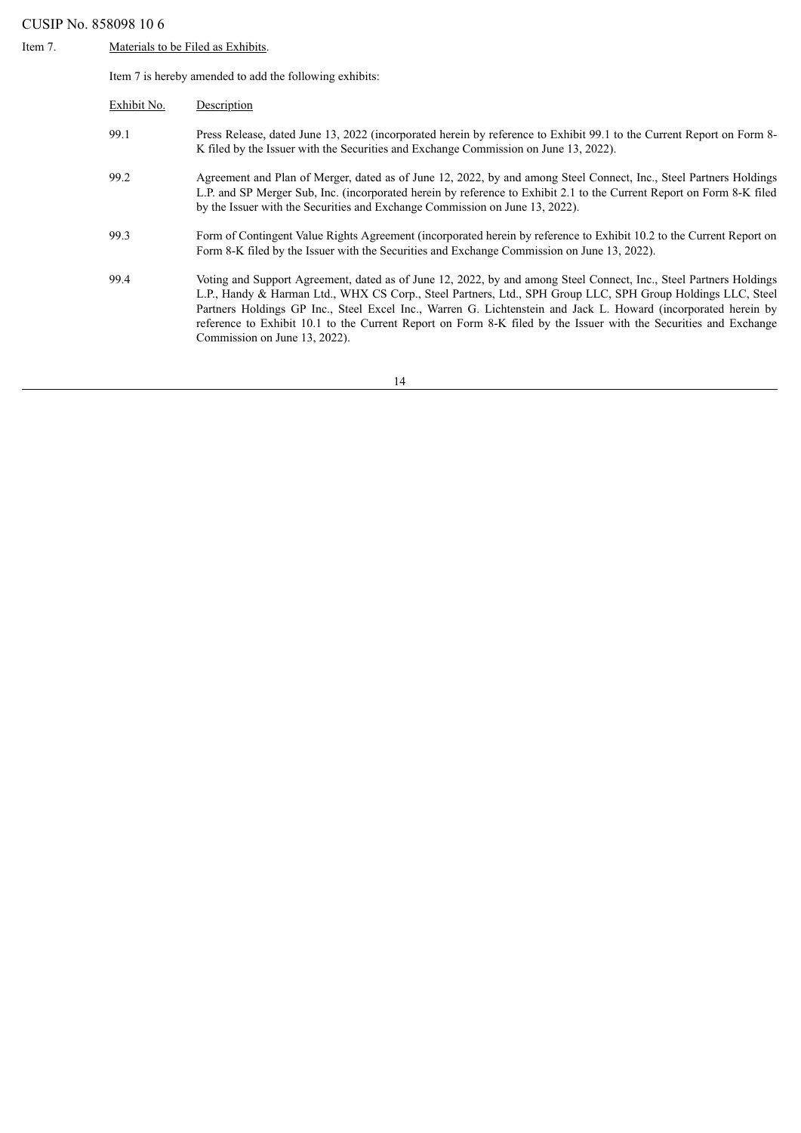Item 7. Materials to be Filed as Exhibits.

Item 7 is hereby amended to add the following exhibits:

| Exhibit No. | Description                                                                                                                                                                                                                                                                                                                                                                                                                                                                                              |
|-------------|----------------------------------------------------------------------------------------------------------------------------------------------------------------------------------------------------------------------------------------------------------------------------------------------------------------------------------------------------------------------------------------------------------------------------------------------------------------------------------------------------------|
| 99.1        | Press Release, dated June 13, 2022 (incorporated herein by reference to Exhibit 99.1 to the Current Report on Form 8-<br>K filed by the Issuer with the Securities and Exchange Commission on June 13, 2022).                                                                                                                                                                                                                                                                                            |
| 99.2        | Agreement and Plan of Merger, dated as of June 12, 2022, by and among Steel Connect, Inc., Steel Partners Holdings<br>L.P. and SP Merger Sub, Inc. (incorporated herein by reference to Exhibit 2.1 to the Current Report on Form 8-K filed<br>by the Issuer with the Securities and Exchange Commission on June 13, 2022).                                                                                                                                                                              |
| 99.3        | Form of Contingent Value Rights Agreement (incorporated herein by reference to Exhibit 10.2 to the Current Report on<br>Form 8-K filed by the Issuer with the Securities and Exchange Commission on June 13, 2022).                                                                                                                                                                                                                                                                                      |
| 99.4        | Voting and Support Agreement, dated as of June 12, 2022, by and among Steel Connect, Inc., Steel Partners Holdings<br>L.P., Handy & Harman Ltd., WHX CS Corp., Steel Partners, Ltd., SPH Group LLC, SPH Group Holdings LLC, Steel<br>Partners Holdings GP Inc., Steel Excel Inc., Warren G. Lichtenstein and Jack L. Howard (incorporated herein by<br>reference to Exhibit 10.1 to the Current Report on Form 8-K filed by the Issuer with the Securities and Exchange<br>Commission on June 13, 2022). |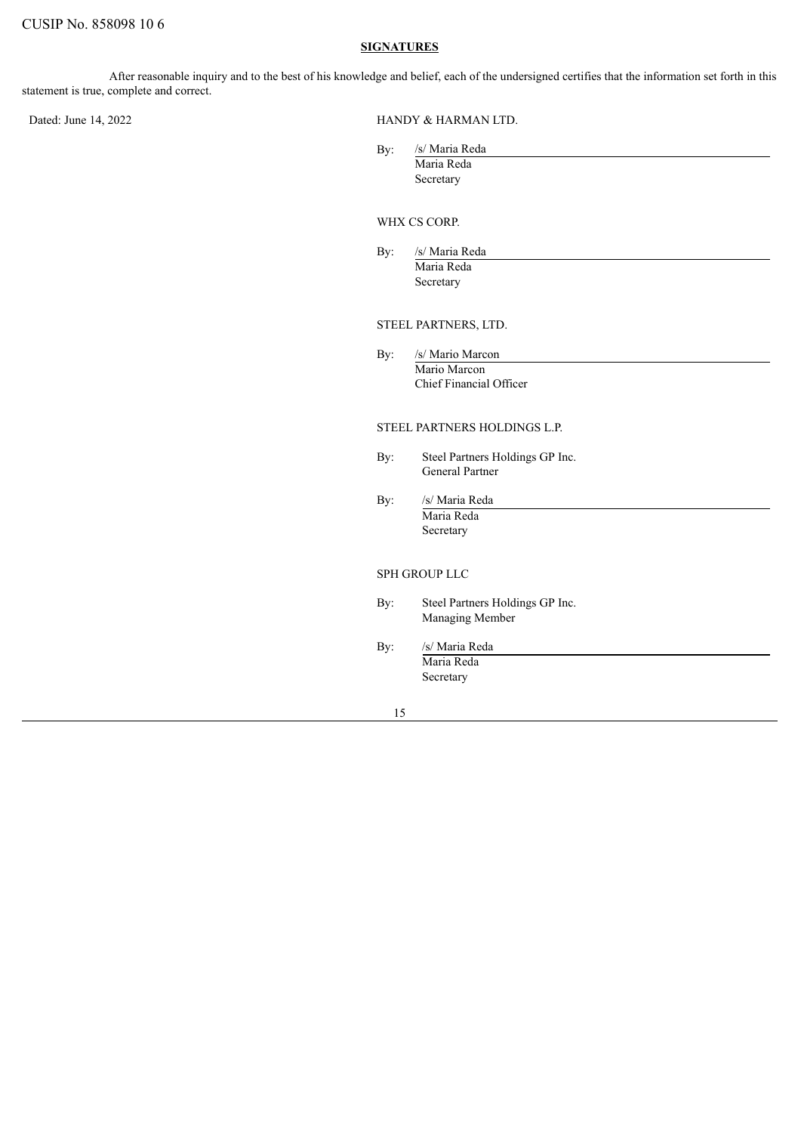### **SIGNATURES**

After reasonable inquiry and to the best of his knowledge and belief, each of the undersigned certifies that the information set forth in this statement is true, complete and correct.

Dated: June 14, 2022 HANDY & HARMAN LTD.

| /s/ Maria Reda |  |  |
|----------------|--|--|
| Maria Reda     |  |  |
| Secretary      |  |  |

### WHX CS CORP.

| By: | /s/ Maria Reda |  |  |
|-----|----------------|--|--|
|     | Maria Reda     |  |  |
|     | Secretary      |  |  |

## STEEL PARTNERS, LTD.

By: /s/ Mario Marcon Mario Marcon Chief Financial Officer

### STEEL PARTNERS HOLDINGS L.P.

- By: Steel Partners Holdings GP Inc. General Partner
- By: /s/ Maria Reda Maria Reda Secretary

### SPH GROUP LLC

- By: Steel Partners Holdings GP Inc. Managing Member
- By: /s/ Maria Reda Maria Reda Secretary